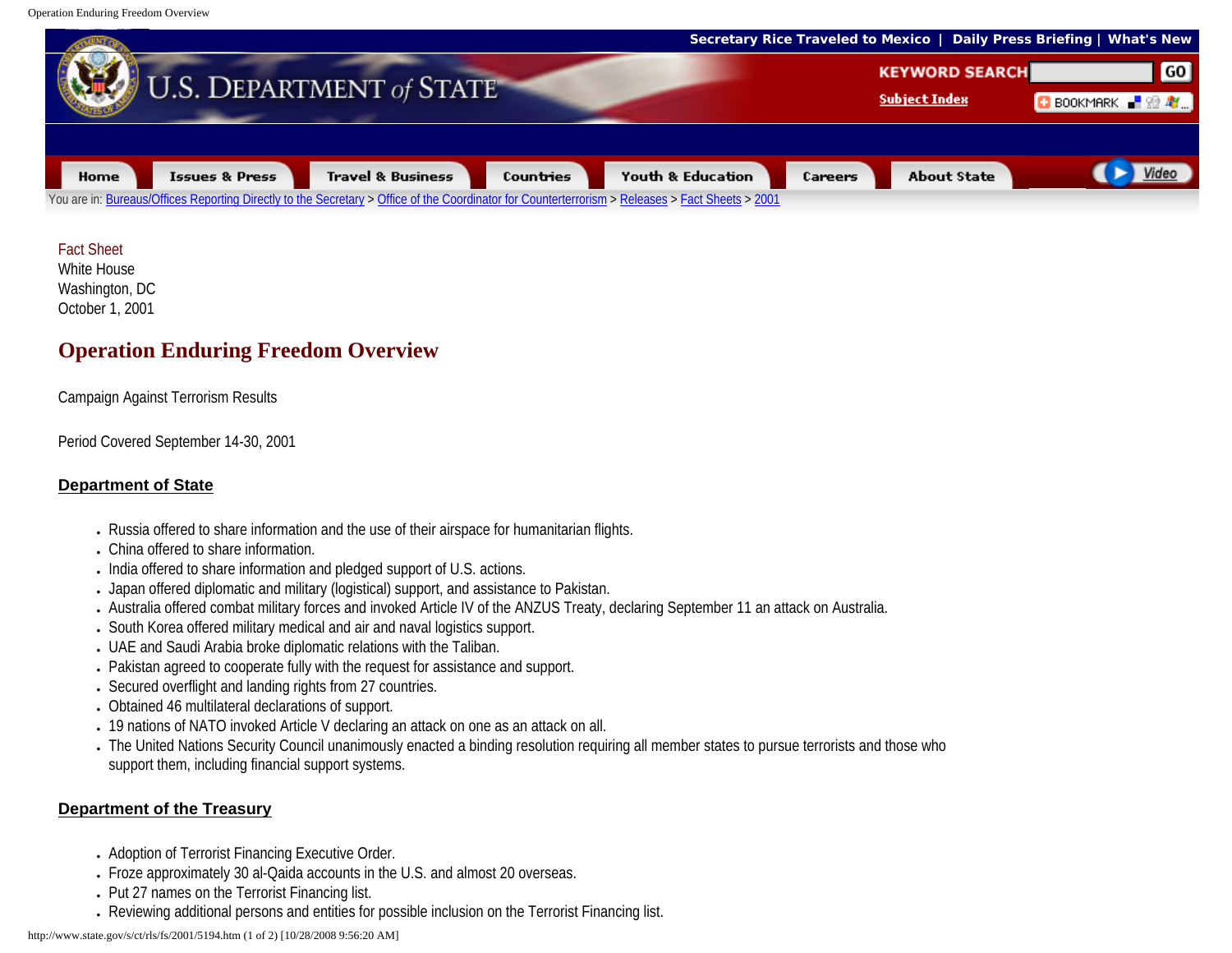Operation Enduring Freedom Overview



### Fact Sheet

White House Washington, DC October 1, 2001

# **Operation Enduring Freedom Overview**

Campaign Against Terrorism Results

Period Covered September 14-30, 2001

## **Department of State**

- Russia offered to share information and the use of their airspace for humanitarian flights.
- China offered to share information.
- India offered to share information and pledged support of U.S. actions.
- Japan offered diplomatic and military (logistical) support, and assistance to Pakistan.
- Australia offered combat military forces and invoked Article IV of the ANZUS Treaty, declaring September 11 an attack on Australia.
- South Korea offered military medical and air and naval logistics support.
- UAE and Saudi Arabia broke diplomatic relations with the Taliban.
- Pakistan agreed to cooperate fully with the request for assistance and support.
- Secured overflight and landing rights from 27 countries.
- Obtained 46 multilateral declarations of support.
- 19 nations of NATO invoked Article V declaring an attack on one as an attack on all.
- The United Nations Security Council unanimously enacted a binding resolution requiring all member states to pursue terrorists and those who support them, including financial support systems.

## **Department of the Treasury**

- Adoption of Terrorist Financing Executive Order.
- Froze approximately 30 al-Qaida accounts in the U.S. and almost 20 overseas.
- Put 27 names on the Terrorist Financing list.
- Reviewing additional persons and entities for possible inclusion on the Terrorist Financing list.